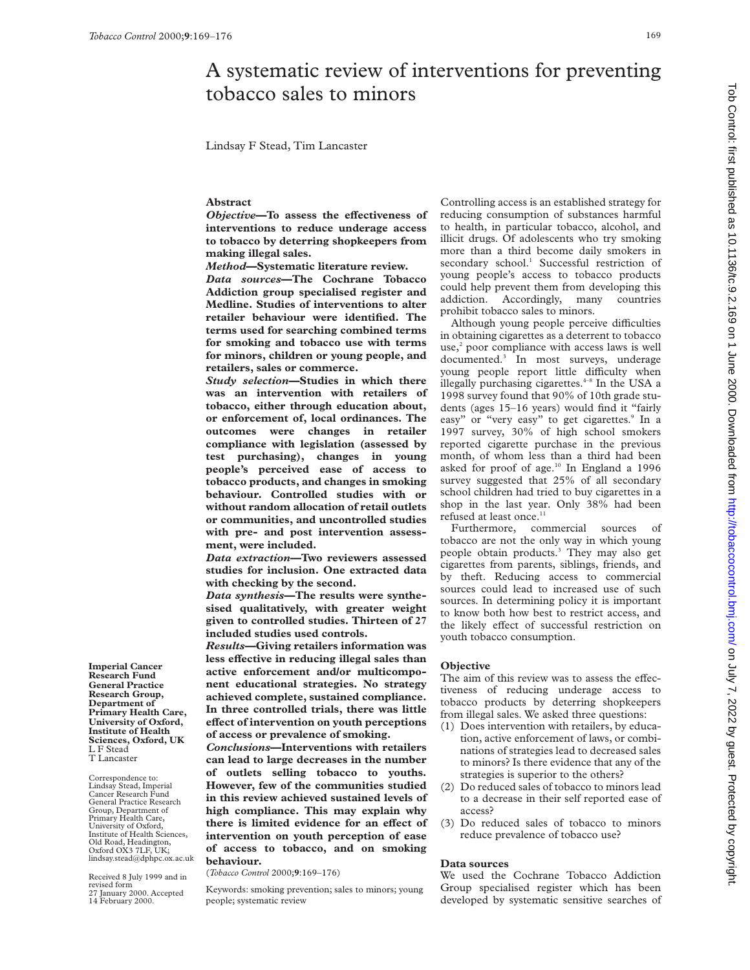**Imperial Cancer Research Fund General Practice Research Group, Department of Primary Health Care, University of Oxford, Institute of Health Sciences, Oxford, UK**

L F Stead T Lancaster Correspondence to: Lindsay Stead, Imperial Cancer Research Fund General Practice Research Group, Department of Primary Health Care, University of Oxford, Institute of Health Sciences, Old Road, Headington, Oxford OX3 7LF, UK; lindsay.stead@dphpc.ox.ac.uk Received 8 July 1999 and in

revised form

27 January 2000. Accepted 14 February 2000.

# A systematic review of interventions for preventing tobacco sales to minors

Lindsay F Stead, Tim Lancaster

# **Abstract**

*Objective*—To assess the effectiveness of **interventions to reduce underage access to tobacco by deterring shopkeepers from making illegal sales.**

*Method***—Systematic literature review.**

*Data sources***—The Cochrane Tobacco Addiction group specialised register and Medline. Studies of interventions to alter retailer behaviour were identified. The terms used for searching combined terms for smoking and tobacco use with terms for minors, children or young people, and retailers, sales or commerce.**

*Study selection***—Studies in which there was an intervention with retailers of tobacco, either through education about, or enforcement of, local ordinances. The outcomes were changes in retailer compliance with legislation (assessed by test purchasing), changes in young people's perceived ease of access to tobacco products, and changes in smoking behaviour. Controlled studies with or without random allocation of retail outlets or communities, and uncontrolled studies with pre- and post intervention assessment, were included.**

*Data extraction***—Two reviewers assessed studies for inclusion. One extracted data with checking by the second.**

*Data synthesis***—The results were synthesised qualitatively, with greater weight given to controlled studies. Thirteen of 27 included studies used controls.**

*Results***—Giving retailers information was** less effective in reducing illegal sales than **active enforcement and/or multicomponent educational strategies. No strategy achieved complete, sustained compliance. In three controlled trials, there was little eVect of intervention on youth perceptions of access or prevalence of smoking.**

*Conclusions***—Interventions with retailers can lead to large decreases in the number of outlets selling tobacco to youths. However, few of the communities studied in this review achieved sustained levels of high compliance. This may explain why** there is limited evidence for an effect of **intervention on youth perception of ease of access to tobacco, and on smoking behaviour.**

(*Tobacco Control* 2000;**9**:169–176)

Keywords: smoking prevention; sales to minors; young people; systematic review

Controlling access is an established strategy for reducing consumption of substances harmful to health, in particular tobacco, alcohol, and illicit drugs. Of adolescents who try smoking more than a third become daily smokers in secondary school.<sup>1</sup> Successful restriction of young people's access to tobacco products could help prevent them from developing this addiction. Accordingly, many countries prohibit tobacco sales to minors.

Although young people perceive difficulties in obtaining cigarettes as a deterrent to tobacco use, $2$  poor compliance with access laws is well documented.3 In most surveys, underage young people report little difficulty when illegally purchasing cigarettes. $4-8$  In the USA a 1998 survey found that 90% of 10th grade students (ages 15–16 years) would find it "fairly easy" or "very easy" to get cigarettes.<sup>9</sup> In a 1997 survey, 30% of high school smokers reported cigarette purchase in the previous month, of whom less than a third had been asked for proof of age. $10$  In England a 1996 survey suggested that 25% of all secondary school children had tried to buy cigarettes in a shop in the last year. Only 38% had been refused at least once.<sup>11</sup>

Furthermore, commercial sources of tobacco are not the only way in which young people obtain products.3 They may also get cigarettes from parents, siblings, friends, and by theft. Reducing access to commercial sources could lead to increased use of such sources. In determining policy it is important to know both how best to restrict access, and the likely effect of successful restriction on youth tobacco consumption.

# **Objective**

The aim of this review was to assess the effectiveness of reducing underage access to tobacco products by deterring shopkeepers from illegal sales. We asked three questions:

- (1) Does intervention with retailers, by education, active enforcement of laws, or combinations of strategies lead to decreased sales to minors? Is there evidence that any of the strategies is superior to the others?
- (2) Do reduced sales of tobacco to minors lead to a decrease in their self reported ease of access?
- (3) Do reduced sales of tobacco to minors reduce prevalence of tobacco use?

# **Data sources**

We used the Cochrane Tobacco Addiction Group specialised register which has been developed by systematic sensitive searches of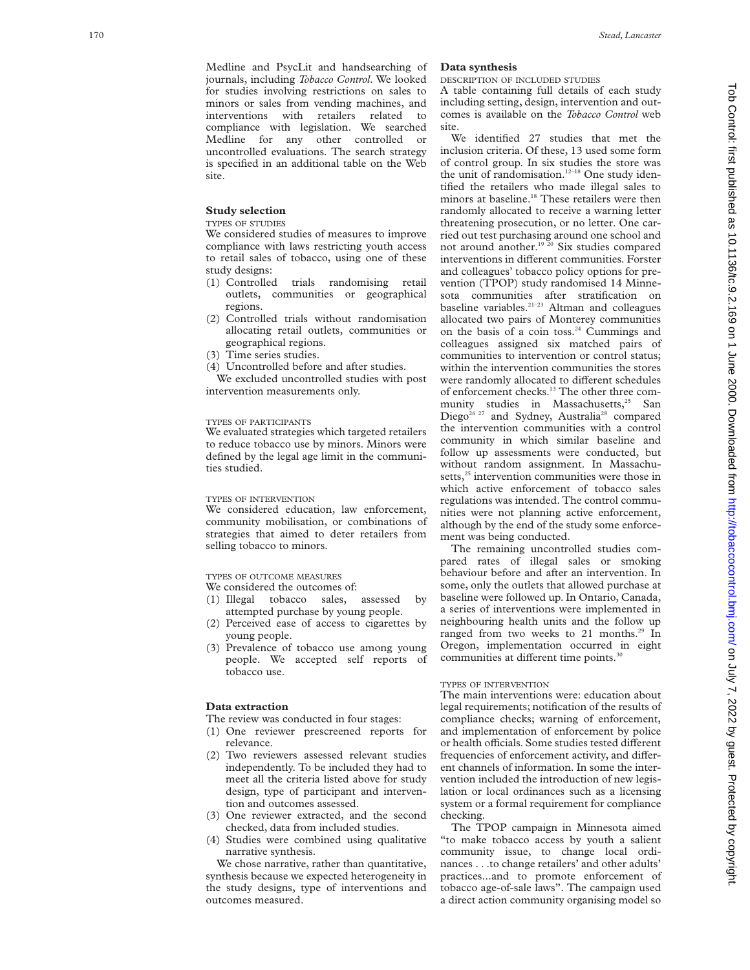Medline and PsycLit and handsearching of journals, including *Tobacco Control*. We looked for studies involving restrictions on sales to minors or sales from vending machines, and interventions with retailers related to compliance with legislation. We searched Medline for any other controlled or uncontrolled evaluations. The search strategy is specified in an additional table on the Web site.

# **Study selection**

#### TYPES OF STUDIES

We considered studies of measures to improve compliance with laws restricting youth access to retail sales of tobacco, using one of these study designs:

- (1) Controlled trials randomising retail outlets, communities or geographical regions.
- (2) Controlled trials without randomisation allocating retail outlets, communities or geographical regions.
- (3) Time series studies.
- (4) Uncontrolled before and after studies.

We excluded uncontrolled studies with post intervention measurements only.

# TYPES OF PARTICIPANTS

We evaluated strategies which targeted retailers to reduce tobacco use by minors. Minors were defined by the legal age limit in the communities studied.

# TYPES OF INTERVENTION

We considered education, law enforcement, community mobilisation, or combinations of strategies that aimed to deter retailers from selling tobacco to minors.

#### TYPES OF OUTCOME MEASURES

We considered the outcomes of:

- (1) Illegal tobacco sales, assessed by attempted purchase by young people.
- (2) Perceived ease of access to cigarettes by young people.
- (3) Prevalence of tobacco use among young people. We accepted self reports of tobacco use.

# **Data extraction**

The review was conducted in four stages:

- (1) One reviewer prescreened reports for relevance.
- (2) Two reviewers assessed relevant studies independently. To be included they had to meet all the criteria listed above for study design, type of participant and intervention and outcomes assessed.
- (3) One reviewer extracted, and the second checked, data from included studies.
- (4) Studies were combined using qualitative narrative synthesis.

We chose narrative, rather than quantitative, synthesis because we expected heterogeneity in the study designs, type of interventions and outcomes measured.

#### **Data synthesis**

DESCRIPTION OF INCLUDED STUDIES

A table containing full details of each study including setting, design, intervention and outcomes is available on the *Tobacco Control* web site.

We identified 27 studies that met the inclusion criteria. Of these, 13 used some form of control group. In six studies the store was the unit of randomisation.<sup>12-18</sup> One study identified the retailers who made illegal sales to minors at baseline.<sup>18</sup> These retailers were then randomly allocated to receive a warning letter threatening prosecution, or no letter. One carried out test purchasing around one school and not around another.<sup>19 20</sup> Six studies compared interventions in different communities. Forster and colleagues' tobacco policy options for prevention (TPOP) study randomised 14 Minnesota communities after stratification on baseline variables.<sup>21-23</sup> Altman and colleagues allocated two pairs of Monterey communities on the basis of a coin toss.<sup>24</sup> Cummings and colleagues assigned six matched pairs of communities to intervention or control status; within the intervention communities the stores were randomly allocated to different schedules of enforcement checks.13 The other three community studies in Massachusetts,<sup>25</sup> San Diego<sup>26 27</sup> and Sydney, Australia<sup>28</sup> compared the intervention communities with a control community in which similar baseline and follow up assessments were conducted, but without random assignment. In Massachusetts,<sup>25</sup> intervention communities were those in which active enforcement of tobacco sales regulations was intended. The control communities were not planning active enforcement, although by the end of the study some enforcement was being conducted.

The remaining uncontrolled studies compared rates of illegal sales or smoking behaviour before and after an intervention. In some, only the outlets that allowed purchase at baseline were followed up. In Ontario, Canada, a series of interventions were implemented in neighbouring health units and the follow up ranged from two weeks to 21 months.<sup>29</sup> In Oregon, implementation occurred in eight communities at different time points.<sup>30</sup>

# TYPES OF INTERVENTION

The main interventions were: education about legal requirements; notification of the results of compliance checks; warning of enforcement, and implementation of enforcement by police or health officials. Some studies tested different frequencies of enforcement activity, and different channels of information. In some the intervention included the introduction of new legislation or local ordinances such as a licensing system or a formal requirement for compliance checking.

The TPOP campaign in Minnesota aimed "to make tobacco access by youth a salient community issue, to change local ordinances . . .to change retailers' and other adults' practices...and to promote enforcement of tobacco age-of-sale laws". The campaign used a direct action community organising model so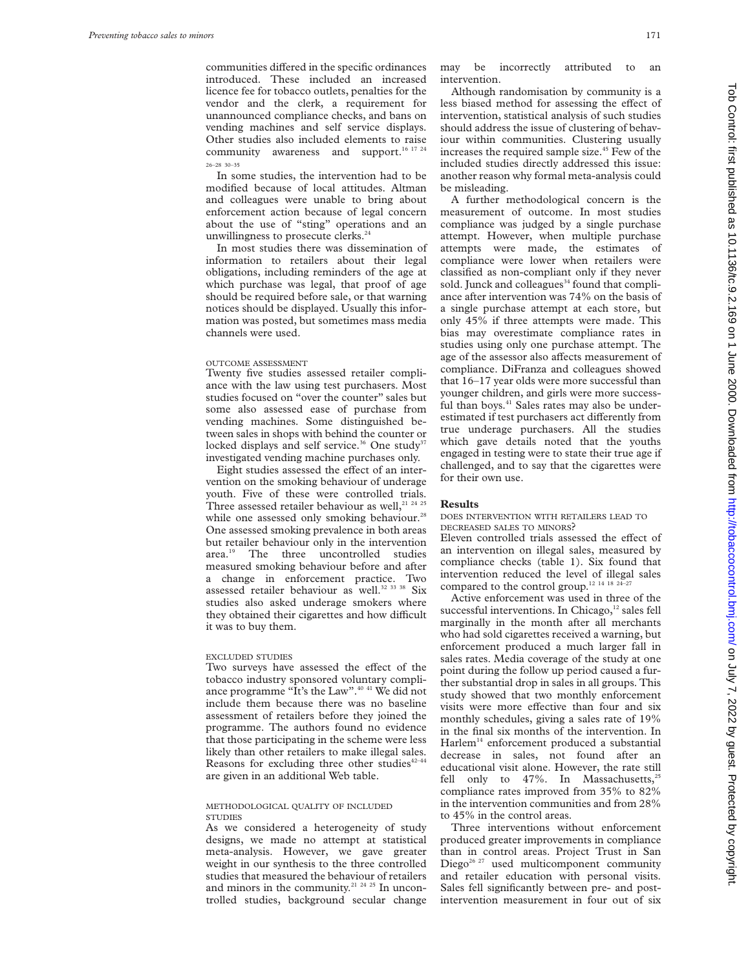communities differed in the specific ordinances introduced. These included an increased licence fee for tobacco outlets, penalties for the vendor and the clerk, a requirement for unannounced compliance checks, and bans on vending machines and self service displays. Other studies also included elements to raise community awareness and support.<sup>16 17 2</sup> 26–28 30–35

In some studies, the intervention had to be modified because of local attitudes. Altman and colleagues were unable to bring about enforcement action because of legal concern about the use of "sting" operations and an unwillingness to prosecute clerks.<sup>24</sup>

In most studies there was dissemination of information to retailers about their legal obligations, including reminders of the age at which purchase was legal, that proof of age should be required before sale, or that warning notices should be displayed. Usually this information was posted, but sometimes mass media channels were used.

# OUTCOME ASSESSMENT

Twenty five studies assessed retailer compliance with the law using test purchasers. Most studies focused on "over the counter" sales but some also assessed ease of purchase from vending machines. Some distinguished between sales in shops with behind the counter or locked displays and self service.<sup>36</sup> One study<sup>37</sup> investigated vending machine purchases only.

Eight studies assessed the effect of an intervention on the smoking behaviour of underage youth. Five of these were controlled trials. Three assessed retailer behaviour as well, $^{21}$   $^{24}$   $^{25}$ while one assessed only smoking behaviour.<sup>28</sup> One assessed smoking prevalence in both areas but retailer behaviour only in the intervention area.<sup>19</sup> The three uncontrolled studies measured smoking behaviour before and after a change in enforcement practice. Two assessed retailer behaviour as well.<sup>32 33</sup> 38 Six studies also asked underage smokers where they obtained their cigarettes and how difficult it was to buy them.

#### EXCLUDED STUDIES

Two surveys have assessed the effect of the tobacco industry sponsored voluntary compliance programme "It's the Law".40 41 We did not include them because there was no baseline assessment of retailers before they joined the programme. The authors found no evidence that those participating in the scheme were less likely than other retailers to make illegal sales. Reasons for excluding three other studies $42-44$ are given in an additional Web table.

# METHODOLOGICAL QUALITY OF INCLUDED **STUDIES**

As we considered a heterogeneity of study designs, we made no attempt at statistical meta-analysis. However, we gave greater weight in our synthesis to the three controlled studies that measured the behaviour of retailers and minors in the community.<sup>21 24 25</sup> In uncontrolled studies, background secular change

may be incorrectly attributed to an intervention.

Although randomisation by community is a less biased method for assessing the effect of intervention, statistical analysis of such studies should address the issue of clustering of behaviour within communities. Clustering usually increases the required sample size.<sup>45</sup> Few of the included studies directly addressed this issue: another reason why formal meta-analysis could be misleading.

A further methodological concern is the measurement of outcome. In most studies compliance was judged by a single purchase attempt. However, when multiple purchase attempts were made, the estimates of compliance were lower when retailers were classified as non-compliant only if they never sold. Junck and colleagues<sup>34</sup> found that compliance after intervention was 74% on the basis of a single purchase attempt at each store, but only 45% if three attempts were made. This bias may overestimate compliance rates in studies using only one purchase attempt. The age of the assessor also affects measurement of compliance. DiFranza and colleagues showed that 16–17 year olds were more successful than younger children, and girls were more successful than boys.<sup>41</sup> Sales rates may also be underestimated if test purchasers act differently from true underage purchasers. All the studies which gave details noted that the youths engaged in testing were to state their true age if challenged, and to say that the cigarettes were for their own use.

### **Results**

DOES INTERVENTION WITH RETAILERS LEAD TO DECREASED SALES TO MINORS?

Eleven controlled trials assessed the effect of an intervention on illegal sales, measured by compliance checks (table 1). Six found that intervention reduced the level of illegal sales compared to the control group.<sup>12 14 18 24–27</sup>

Active enforcement was used in three of the successful interventions. In Chicago, $12$  sales fell marginally in the month after all merchants who had sold cigarettes received a warning, but enforcement produced a much larger fall in sales rates. Media coverage of the study at one point during the follow up period caused a further substantial drop in sales in all groups. This study showed that two monthly enforcement visits were more effective than four and six monthly schedules, giving a sales rate of 19% in the final six months of the intervention. In Harlem<sup>14</sup> enforcement produced a substantial decrease in sales, not found after an educational visit alone. However, the rate still fell only to  $47\%$ . In Massachusetts,<sup>25</sup> compliance rates improved from 35% to 82% in the intervention communities and from 28% to 45% in the control areas.

Three interventions without enforcement produced greater improvements in compliance than in control areas. Project Trust in San Diego<sup>26, 27</sup> used multicomponent community and retailer education with personal visits. Sales fell significantly between pre- and postintervention measurement in four out of six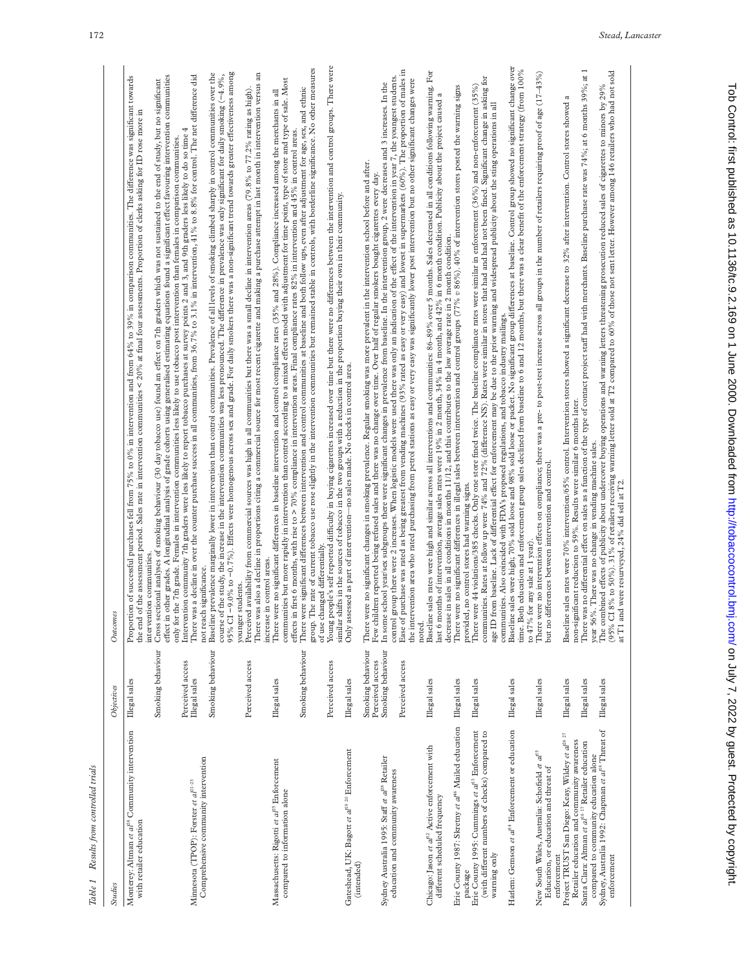| î<br>į                            |
|-----------------------------------|
| form<br>$\ddot{\phantom{a}}$<br>p |
| ł.                                |

| <b>Studies</b>                                                                                                                                                                                            | Objectives                                                                     | Outcomes                                                                                                                                                                                                                                                                                                                                                                                                                                                                                                                                                                                                                                                                                                                                                                                                                                                                                                                                                                                                                                                                                                                                                                                                                       |
|-----------------------------------------------------------------------------------------------------------------------------------------------------------------------------------------------------------|--------------------------------------------------------------------------------|--------------------------------------------------------------------------------------------------------------------------------------------------------------------------------------------------------------------------------------------------------------------------------------------------------------------------------------------------------------------------------------------------------------------------------------------------------------------------------------------------------------------------------------------------------------------------------------------------------------------------------------------------------------------------------------------------------------------------------------------------------------------------------------------------------------------------------------------------------------------------------------------------------------------------------------------------------------------------------------------------------------------------------------------------------------------------------------------------------------------------------------------------------------------------------------------------------------------------------|
| Monterey: Altman et al <sup>24</sup> Community intervention<br>Minnesota (TPOP): Forster et al <sup>21-23</sup><br>with retailer education                                                                | Smoking behaviour<br>Perceived access<br>Illegal sales<br>Illegal sales        | eftect in other grades. A longitudinal analysis of grade cohorts using generalised estimating equations found a significant effect favouring intervention communities<br>There was a decline in over the counter purchase success in all communities, from 36.7% to 3.1% in intervention, 41% to 8.8% for control. The net difference did<br>Proportion of successful purchases fell from 75% to 0% in intervention and from 64% to 39% in comparison communities. The difference was significant towards<br>Cross sectional analyses of smoking behaviour (30 day robacco use) found an effect on 7th graders which was not sustained to the end of strudy, but no significant<br>the end of the assessment period. Sales rate in intervention communities $< 20\%$ at final four assessments. Proportion of clerks asking for ID rose more in<br>Intervention community 7th graders were less likely to report tobacco purchases at survey points 2 and 3, and 9th graders less likely to do so time 4<br>only for the 7th grade. Females in intervention communities less likely to use tobacco post intervention than females in comparison communities.<br>intervention communities.                                      |
| Comprehensive community intervention                                                                                                                                                                      | Smoking behaviour<br>Perceived access                                          | $-9.0\%$ to $-0.7\%$ ). Effects were homogenous across sex and grade. For daily smokers there was a non-significant trend towards greater effectiveness among<br>an<br>Baseline prevalence marginally lower in intervention than control communities. Prevalence of all levels of smoking climbed sharply in control communities over the<br>che study, the increase in the intervention communities was less pronounced. The difference in prevalence was only significant for daily smoking $(-4.9\%,$<br>There was also a decline in proportions citing a commercial source for most recent cigarette and making a purchase attempt in last month in intervention versus<br>availability from commercial sources was high in all communities but there was a small decline in intervention areas (79.8% to 77.2% rating as high).<br>not reach significance.<br>younger students.<br>course of<br>Perceived<br>95% CI                                                                                                                                                                                                                                                                                                       |
| Massachusetts: Rigotti et $a l^{\mathcal{S}}$ Enforcement<br>compared to information alone                                                                                                                | Smoking behaviour<br>Perceived access<br>Illegal sales                         | Young people's self reported difficulty in buying cigarettes increased over time but there were no differences between the intervention and control groups. There were<br>he rate of current tobacco use rose slightly in the intervention communities but remained stable in controls, with borderline significance. No other measures<br>communities but more rapidly in intervention than control according to a mixed effects model with adjustment for time point, type of store and type of sale. Most<br>There were significant differences between intervention and control communities at baseline and both follow ups, even after adjustment for age, sex, and ethnic<br>There were no significant differences in baseline intervention and control compliance rates (35% and 28%). Compliance increased among the merchants in all<br>first 6 months, with rise to $> 70\%$ compliance in intervention areas. Final compliance rates 82% in intervention and 45% in control areas.<br>similar shifts in the sources of tobacco in the two groups with a reduction in the proportion buying their own in their community.<br>of use changed differentially.<br>increase in control areas.<br>effects in<br>group. TI |
| Gateshead, UK: Bagott et $al^{\scriptscriptstyle 19}$ $^{\scriptscriptstyle 20}$ Enforcement<br>(intended)                                                                                                | Illegal sales                                                                  | Only assessed as part of intervention-no sales made. No checks in control area.                                                                                                                                                                                                                                                                                                                                                                                                                                                                                                                                                                                                                                                                                                                                                                                                                                                                                                                                                                                                                                                                                                                                                |
| Sydney Australia 1995: Staff et al <sup>28</sup> Retailer<br>education and community awareness                                                                                                            | Smoking behaviour<br>Smoking behaviour<br>Perceived access<br>Perceived access | Ease of purchase was rated as being greatest from vending machines (93% rated as easy or very easy) and lowest in supermarkets (60%). The proportion of males in<br>control group there were 2 increases. When logistic models were used there was only an indication of the effect of the intervention in year 7, the youngest students.<br>the intervention area who rated purchasing from petrol stations as easy or very easy was significantly lower post intervention but no other significant changes were<br>school year/sex subgroups there were significant changes in prevalence from baseline. In the intervention group, 2 were decreases and 3 increases. In the<br>There were no significant changes in smoking prevalence. Regular smoking was more prevalent in the intervention school before and after.<br>Few children reported being refused sales and there was no change over time. Over half of regular smokers bought cigarettes every day.<br>In some                                                                                                                                                                                                                                                |
| Chicago: Jason et al <sup>12</sup> Active enforcement with<br>different scheduled frequency                                                                                                               | Illegal sales                                                                  | Baseline sales rates were high and similar across all interventions and communities: 86–89% over 5 months. Sales decreased in all conditions following warning. For<br>last 6 months of intervention, average sales rates were 19% in 2 month, 34% in 4 month, and 42% in 6 month condition. Publicity about the project caused a<br>decrease in sales in all conditions in months 11/12, and this contributes to the low average rate in 2 month condition.<br>noted.                                                                                                                                                                                                                                                                                                                                                                                                                                                                                                                                                                                                                                                                                                                                                         |
| Erie County 1987: Skretny et al <sup>46</sup> Mailed education<br>Erie County 1995: Cummings et al <sup>13</sup> Enforcement<br>(with different numbers of checks) compared to<br>warning only<br>package | Illegal sales<br>Illegal sales                                                 | communities. Rates at follow up were 74% and 72% (difference NS). Rates were similar in stores that had and had not been fined. Significant change in asking for<br>There were no significant differences in illegal sales between intervention and control groups (77% v 86%). 40% of intervention stores posted the warning signs<br>There were 44 violations/385 checks. Only one store fined twice. The baseline compliance rates were similar in enforcement (36%) and non-enforcement (35%)<br>age ID from baseline. Lack of differential effect for enforcement may be due to the prior warning and widespread publicity about the sting operations in all<br>provided, no control stores had warning signs.                                                                                                                                                                                                                                                                                                                                                                                                                                                                                                            |
| Harlem: Gemson et al <sup>14</sup> Enforcement or education                                                                                                                                               | Illegal sales                                                                  | Baseline sales were high; 70% sold loose and 98% sold loose or packet. No significant group differences at baseline. Control group showed no significant change over<br>time. Both education and enforcement group sales declined from baseline to 6 and 12 months, but there was a clear benefit of the enforcement strategy (from 100%<br>communities. Also coincided with FDA's proposed regulations, and tobacco industry mailings.<br>to $47\%$ for any sale at 1 year)                                                                                                                                                                                                                                                                                                                                                                                                                                                                                                                                                                                                                                                                                                                                                   |
| New South Wales, Australia: Schofield et al <sup>15</sup><br>Education, or education and threat of<br>enforcement                                                                                         | Illegal sales                                                                  | There were no intervention effects on compliance; there was a pre- to post-test increase across all groups in the number of retailers requiring proof of age (17-43%)<br>but no differences between intervention and control.                                                                                                                                                                                                                                                                                                                                                                                                                                                                                                                                                                                                                                                                                                                                                                                                                                                                                                                                                                                                  |
| Project TRUST San Diego: Keay, Wildey et al <sup>26 27</sup>                                                                                                                                              | Illegal sales                                                                  | a<br>Baseline sales rates were 70% intervention/65% control. Intervention stores showed a significant decrease to 32% after intervention. Control stores showed<br>non-significant reduction to 59%. Results were similar 6 months later.                                                                                                                                                                                                                                                                                                                                                                                                                                                                                                                                                                                                                                                                                                                                                                                                                                                                                                                                                                                      |
| Retailer education and community awareness<br>Santa Clara: Altman et al <sup>16 17</sup> Retailer education                                                                                               | Illegal sales                                                                  | There was no differential effect on sales as a function of the type of contact project staff had with merchants. Baseline purchase rate was 74%; at 6 months 39%; at 1                                                                                                                                                                                                                                                                                                                                                                                                                                                                                                                                                                                                                                                                                                                                                                                                                                                                                                                                                                                                                                                         |
| Sydney, Australia 1992: Chapman et al <sup>18</sup> Threat of<br>compared to community education alone<br>enforcement                                                                                     | Illegal sales                                                                  | 8% to 50%). 31% of retailers receiving warning letter sold at T2 compared to 60% of those not sent letter. However among 146 retailers who had not sold<br>The combined effects of publicity about undercover buying operations and warning letters threatening prosecution reduced sales of cigarettes to minors by 29%<br>year 56%. There was no change in vending machine sales.<br>at T1 and were resurveyed, 24% did sell at T2.<br>(95% CI                                                                                                                                                                                                                                                                                                                                                                                                                                                                                                                                                                                                                                                                                                                                                                               |
|                                                                                                                                                                                                           |                                                                                |                                                                                                                                                                                                                                                                                                                                                                                                                                                                                                                                                                                                                                                                                                                                                                                                                                                                                                                                                                                                                                                                                                                                                                                                                                |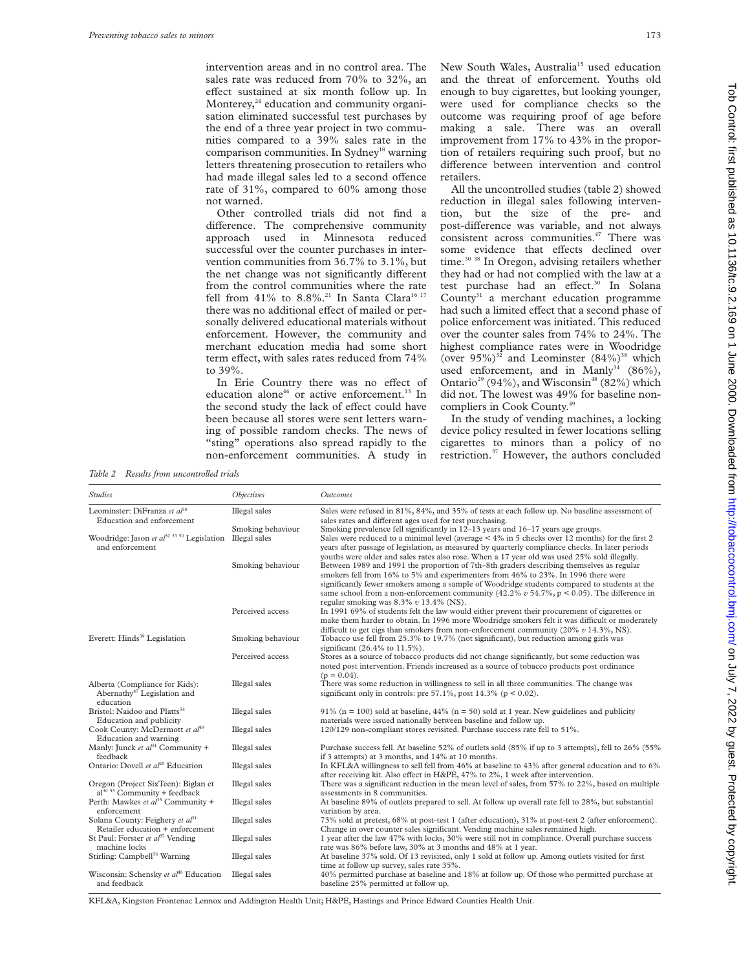intervention areas and in no control area. The sales rate was reduced from 70% to 32%, an effect sustained at six month follow up. In Monterey, $24$  education and community organisation eliminated successful test purchases by the end of a three year project in two communities compared to a 39% sales rate in the comparison communities. In Sydney<sup>18</sup> warning letters threatening prosecution to retailers who had made illegal sales led to a second offence rate of 31%, compared to 60% among those not warned.

Other controlled trials did not find a difference. The comprehensive community approach used in Minnesota reduced successful over the counter purchases in intervention communities from 36.7% to 3.1%, but the net change was not significantly different from the control communities where the rate fell from 41% to 8.8%.<sup>21</sup> In Santa Clara<sup>16 17</sup> there was no additional effect of mailed or personally delivered educational materials without enforcement. However, the community and merchant education media had some short term effect, with sales rates reduced from 74% to 39%.

In Erie Country there was no effect of education alone<sup>46</sup> or active enforcement.<sup>13</sup> In the second study the lack of effect could have been because all stores were sent letters warning of possible random checks. The news of "sting" operations also spread rapidly to the non-enforcement communities. A study in

New South Wales, Australia<sup>15</sup> used education and the threat of enforcement. Youths old enough to buy cigarettes, but looking younger, were used for compliance checks so the outcome was requiring proof of age before making a sale. There was an overall improvement from 17% to 43% in the proportion of retailers requiring such proof, but no difference between intervention and control retailers.

All the uncontrolled studies (table 2) showed reduction in illegal sales following intervention, but the size of the pre- and post-difference was variable, and not always consistent across communities.47 There was some evidence that effects declined over time.<sup>30 38</sup> In Oregon, advising retailers whether they had or had not complied with the law at a test purchase had an effect.<sup>30</sup> In Solana County $31$  a merchant education programme had such a limited effect that a second phase of police enforcement was initiated. This reduced over the counter sales from 74% to 24%. The highest compliance rates were in Woodridge (over  $95\%$ )<sup>32</sup> and Leominster  $(84\%)$ <sup>38</sup> which used enforcement, and in Manly<sup>34</sup> (86%), Ontario<sup>29</sup> (94%), and Wisconsin<sup>48</sup> (82%) which did not. The lowest was 49% for baseline noncompliers in Cook County.49

In the study of vending machines, a locking device policy resulted in fewer locations selling cigarettes to minors than a policy of no restriction.37 However, the authors concluded

*Table 2 Results from uncontrolled trials*

| <b>Studies</b>                                                                         | <i>Objectives</i>                  | Outcomes                                                                                                                                                                                                                                                                                                                                                                                                                       |
|----------------------------------------------------------------------------------------|------------------------------------|--------------------------------------------------------------------------------------------------------------------------------------------------------------------------------------------------------------------------------------------------------------------------------------------------------------------------------------------------------------------------------------------------------------------------------|
| Leominster: DiFranza et al <sup>38</sup><br>Education and enforcement                  | Illegal sales                      | Sales were refused in 81%, 84%, and 35% of tests at each follow up. No baseline assessment of<br>sales rates and different ages used for test purchasing.                                                                                                                                                                                                                                                                      |
| Woodridge: Jason et $al^{32}$ 33 50 Legislation<br>and enforcement                     | Smoking behaviour<br>Illegal sales | Smoking prevalence fell significantly in $12-13$ years and $16-17$ years age groups.<br>Sales were reduced to a minimal level (average $\lt 4\%$ in 5 checks over 12 months) for the first 2<br>years after passage of legislation, as measured by quarterly compliance checks. In later periods<br>youths were older and sales rates also rose. When a 17 year old was used 25% sold illegally.                               |
|                                                                                        | Smoking behaviour                  | Between 1989 and 1991 the proportion of 7th–8th graders describing themselves as regular<br>smokers fell from 16% to 5% and experimenters from 46% to 23%. In 1996 there were<br>significantly fewer smokers among a sample of Woodridge students compared to students at the<br>same school from a non-enforcement community (42.2% $v$ 54.7%, $p$ < 0.05). The difference in<br>regular smoking was $8.3\%$ v $13.4\%$ (NS). |
|                                                                                        | Perceived access                   | In 1991 69% of students felt the law would either prevent their procurement of cigarettes or<br>make them harder to obtain. In 1996 more Woodridge smokers felt it was difficult or moderately<br>difficult to get cigs than smokers from non-enforcement community (20% $v$ 14.3%, NS).                                                                                                                                       |
| Everett: Hinds <sup>39</sup> Legislation                                               | Smoking behaviour                  | Tobacco use fell from 25.3% to 19.7% (not significant), but reduction among girls was<br>significant $(26.4\% \text{ to } 11.5\%).$                                                                                                                                                                                                                                                                                            |
|                                                                                        | Perceived access                   | Stores as a source of tobacco products did not change significantly, but some reduction was<br>noted post intervention. Friends increased as a source of tobacco products post ordinance<br>$(p = 0.04)$ .                                                                                                                                                                                                                     |
| Alberta (Compliance for Kids):<br>Abernathy <sup>47</sup> Legislation and<br>education | Illegal sales                      | There was some reduction in willingness to sell in all three communities. The change was<br>significant only in controls: pre $57.1\%$ , post $14.3\%$ (p < 0.02).                                                                                                                                                                                                                                                             |
| Bristol: Naidoo and Platts <sup>54</sup><br>Education and publicity                    | Illegal sales                      | 91% (n = 100) sold at baseline, 44% (n = 50) sold at 1 year. New guidelines and publicity<br>materials were issued nationally between baseline and follow up.                                                                                                                                                                                                                                                                  |
| Cook County: McDermott et al <sup>19</sup><br>Education and warning                    | Illegal sales                      | 120/129 non-compliant stores revisited. Purchase success rate fell to 51%.                                                                                                                                                                                                                                                                                                                                                     |
| Manly: Junck et $a^{34}$ Community +<br>feedback                                       | Illegal sales                      | Purchase success fell. At baseline 52% of outlets sold (85% if up to 3 attempts), fell to 26% (55%<br>if 3 attempts) at 3 months, and 14% at 10 months.                                                                                                                                                                                                                                                                        |
| Ontario: Dovell et al <sup>29</sup> Education                                          | Illegal sales                      | In KFL&A willingness to sell fell from 46% at baseline to 43% after general education and to 6%<br>after receiving kit. Also effect in H&PE, 47% to 2%, 1 week after intervention.                                                                                                                                                                                                                                             |
| Oregon (Project SixTeen): Biglan et<br>al <sup>30 55</sup> Community + feedback        | Illegal sales                      | There was a significant reduction in the mean level of sales, from 57% to 22%, based on multiple<br>assessments in 8 communities.                                                                                                                                                                                                                                                                                              |
| Perth: Mawkes et al <sup>35</sup> Community +<br>enforcement                           | Illegal sales                      | At baseline 89% of outlets prepared to sell. At follow up overall rate fell to 28%, but substantial<br>variation by area.                                                                                                                                                                                                                                                                                                      |
| Solana County: Feighery et al <sup>31</sup><br>Retailer education + enforcement        | Illegal sales                      | 73% sold at pretest, 68% at post-test 1 (after education), 31% at post-test 2 (after enforcement).<br>Change in over counter sales significant. Vending machine sales remained high.                                                                                                                                                                                                                                           |
| St Paul: Forster et al <sup>37</sup> Vending                                           | Illegal sales                      | 1 year after the law 47% with locks, 30% were still not in compliance. Overall purchase success                                                                                                                                                                                                                                                                                                                                |
| machine locks<br>Stirling: Campbell <sup>56</sup> Warning                              | Illegal sales                      | rate was 86% before law, 30% at 3 months and 48% at 1 year.<br>At baseline 37% sold. Of 13 revisited, only 1 sold at follow up. Among outlets visited for first<br>time at follow up survey, sales rate 35%.                                                                                                                                                                                                                   |
| Wisconsin: Schensky et al <sup>48</sup> Education<br>and feedback                      | Illegal sales                      | 40% permitted purchase at baseline and 18% at follow up. Of those who permitted purchase at<br>baseline 25% permitted at follow up.                                                                                                                                                                                                                                                                                            |

KFL&A, Kingston Frontenac Lennox and Addington Health Unit; H&PE, Hastings and Prince Edward Counties Health Unit.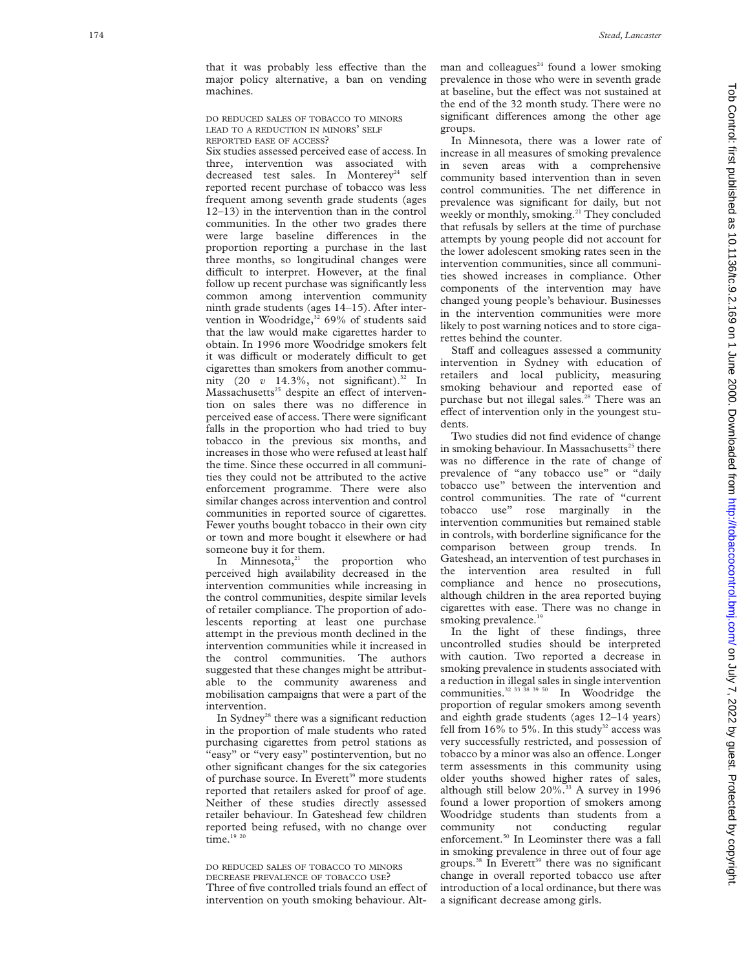that it was probably less effective than the major policy alternative, a ban on vending machines.

## DO REDUCED SALES OF TOBACCO TO MINORS LEAD TO A REDUCTION IN MINORS ' SELF REPORTED EASE OF ACCESS ?

Six studies assessed perceived ease of access. In three, intervention was associated with decreased test sales. In Monterey<sup>24</sup> self reported recent purchase of tobacco was less frequent among seventh grade students (ages 12–13) in the intervention than in the control communities. In the other two grades there were large baseline differences in the proportion reporting a purchase in the last three months, so longitudinal changes were difficult to interpret. However, at the final follow up recent purchase was significantly less common among intervention community ninth grade students (ages 14–15). After intervention in Woodridge, $32\,69\%$  of students said that the law would make cigarettes harder to obtain. In 1996 more Woodridge smokers felt it was difficult or moderately difficult to get cigarettes than smokers from another community (20  $v$  14.3%, not significant).<sup>32</sup> In Massachusetts<sup>25</sup> despite an effect of intervention on sales there was no difference in perceived ease of access. There were significant falls in the proportion who had tried to buy tobacco in the previous six months, and increases in those who were refused at least half the time. Since these occurred in all communities they could not be attributed to the active enforcement programme. There were also similar changes across intervention and control communities in reported source of cigarettes. Fewer youths bought tobacco in their own city or town and more bought it elsewhere or had someone buy it for them.

In Minnesota, $21$  the proportion who perceived high availability decreased in the intervention communities while increasing in the control communities, despite similar levels of retailer compliance. The proportion of adolescents reporting at least one purchase attempt in the previous month declined in the intervention communities while it increased in the control communities. The authors suggested that these changes might be attributable to the community awareness and mobilisation campaigns that were a part of the intervention.

In Sydney<sup>28</sup> there was a significant reduction in the proportion of male students who rated purchasing cigarettes from petrol stations as "easy" or "very easy" postintervention, but no other significant changes for the six categories of purchase source. In Everett<sup>39</sup> more students reported that retailers asked for proof of age. Neither of these studies directly assessed retailer behaviour. In Gateshead few children reported being refused, with no change over time $^{19}$   $^{20}$ 

DO REDUCED SALES OF TOBACCO TO MINORS DECREASE PREVALENCE OF TOBACCO USE? Three of five controlled trials found an effect of intervention on youth smoking behaviour. Altman and colleagues<sup>24</sup> found a lower smoking prevalence in those who were in seventh grade at baseline, but the effect was not sustained at the end of the 32 month study. There were no significant differences among the other age groups.

In Minnesota, there was a lower rate of increase in all measures of smoking prevalence in seven areas with a comprehensive community based intervention than in seven control communities. The net difference in prevalence was significant for daily, but not weekly or monthly, smoking.<sup>21</sup> They concluded that refusals by sellers at the time of purchase attempts by young people did not account for the lower adolescent smoking rates seen in the intervention communities, since all communities showed increases in compliance. Other components of the intervention may have changed young people's behaviour. Businesses in the intervention communities were more likely to post warning notices and to store cigarettes behind the counter.

Staff and colleagues assessed a community intervention in Sydney with education of retailers and local publicity, measuring smoking behaviour and reported ease of purchase but not illegal sales.<sup>28</sup> There was an effect of intervention only in the youngest students.

Two studies did not find evidence of change in smoking behaviour. In Massachusetts $^{25}$  there was no difference in the rate of change of prevalence of "any tobacco use" or "daily tobacco use" between the intervention and control communities. The rate of "current tobacco use" rose marginally in the intervention communities but remained stable in controls, with borderline significance for the comparison between group trends. In Gateshead, an intervention of test purchases in the intervention area resulted in full compliance and hence no prosecutions, although children in the area reported buying cigarettes with ease. There was no change in smoking prevalence.<sup>19</sup>

In the light of these findings, three uncontrolled studies should be interpreted with caution. Two reported a decrease in smoking prevalence in students associated with a reduction in illegal sales in single intervention communities.<sup>32</sup> <sup>33</sup> <sup>38</sup> <sup>39</sup> <sup>50</sup> In Woodridge the proportion of regular smokers among seventh and eighth grade students (ages 12–14 years) fell from  $16\%$  to 5%. In this study<sup>32</sup> access was very successfully restricted, and possession of tobacco by a minor was also an offence. Longer term assessments in this community using older youths showed higher rates of sales, although still below 20%.<sup>33</sup> A survey in 1996 found a lower proportion of smokers among Woodridge students than students from a community not conducting regular enforcement.<sup>50</sup> In Leominster there was a fall in smoking prevalence in three out of four age groups.<sup>38</sup> In Everett<sup>39</sup> there was no significant change in overall reported tobacco use after introduction of a local ordinance, but there was a significant decrease among girls.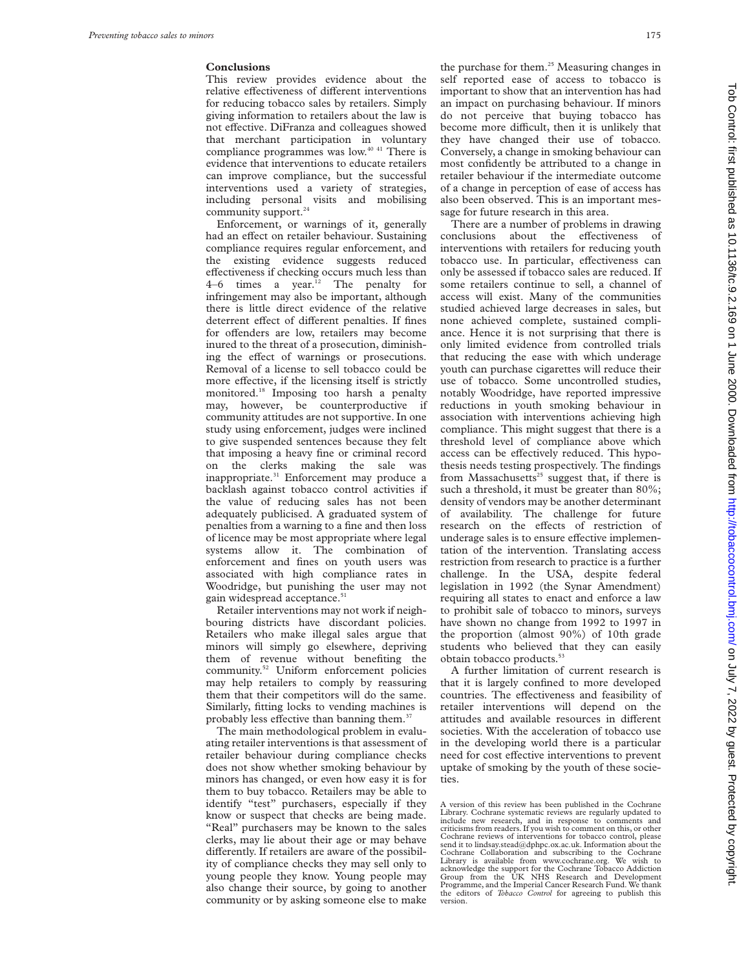### **Conclusions**

This review provides evidence about the relative effectiveness of different interventions for reducing tobacco sales by retailers. Simply giving information to retailers about the law is not effective. DiFranza and colleagues showed that merchant participation in voluntary compliance programmes was low.40 41 There is evidence that interventions to educate retailers can improve compliance, but the successful interventions used a variety of strategies, including personal visits and mobilising community support.<sup>24</sup>

Enforcement, or warnings of it, generally had an effect on retailer behaviour. Sustaining compliance requires regular enforcement, and the existing evidence suggests reduced effectiveness if checking occurs much less than 4–6 times a year.<sup>12</sup> The penalty for infringement may also be important, although there is little direct evidence of the relative deterrent effect of different penalties. If fines for offenders are low, retailers may become inured to the threat of a prosecution, diminishing the effect of warnings or prosecutions. Removal of a license to sell tobacco could be more effective, if the licensing itself is strictly monitored.<sup>18</sup> Imposing too harsh a penalty may, however, be counterproductive if community attitudes are not supportive. In one study using enforcement, judges were inclined to give suspended sentences because they felt that imposing a heavy fine or criminal record on the clerks making the sale was inappropriate.<sup>31</sup> Enforcement may produce a backlash against tobacco control activities if the value of reducing sales has not been adequately publicised. A graduated system of penalties from a warning to a fine and then loss of licence may be most appropriate where legal systems allow it. The combination of enforcement and fines on youth users was associated with high compliance rates in Woodridge, but punishing the user may not gain widespread acceptance.<sup>51</sup>

Retailer interventions may not work if neighbouring districts have discordant policies. Retailers who make illegal sales argue that minors will simply go elsewhere, depriving them of revenue without benefiting the community.<sup>52</sup> Uniform enforcement policies may help retailers to comply by reassuring them that their competitors will do the same. Similarly, fitting locks to vending machines is probably less effective than banning them.<sup>37</sup>

The main methodological problem in evaluating retailer interventions is that assessment of retailer behaviour during compliance checks does not show whether smoking behaviour by minors has changed, or even how easy it is for them to buy tobacco. Retailers may be able to identify "test" purchasers, especially if they know or suspect that checks are being made. "Real" purchasers may be known to the sales clerks, may lie about their age or may behave differently. If retailers are aware of the possibility of compliance checks they may sell only to young people they know. Young people may also change their source, by going to another community or by asking someone else to make

the purchase for them.<sup>25</sup> Measuring changes in self reported ease of access to tobacco is important to show that an intervention has had an impact on purchasing behaviour. If minors do not perceive that buying tobacco has become more difficult, then it is unlikely that they have changed their use of tobacco. Conversely, a change in smoking behaviour can most confidently be attributed to a change in retailer behaviour if the intermediate outcome of a change in perception of ease of access has also been observed. This is an important message for future research in this area.

There are a number of problems in drawing conclusions about the effectiveness of interventions with retailers for reducing youth tobacco use. In particular, effectiveness can only be assessed if tobacco sales are reduced. If some retailers continue to sell, a channel of access will exist. Many of the communities studied achieved large decreases in sales, but none achieved complete, sustained compliance. Hence it is not surprising that there is only limited evidence from controlled trials that reducing the ease with which underage youth can purchase cigarettes will reduce their use of tobacco. Some uncontrolled studies, notably Woodridge, have reported impressive reductions in youth smoking behaviour in association with interventions achieving high compliance. This might suggest that there is a threshold level of compliance above which access can be effectively reduced. This hypothesis needs testing prospectively. The findings from Massachusetts $25$  suggest that, if there is such a threshold, it must be greater than 80%; density of vendors may be another determinant of availability. The challenge for future research on the effects of restriction of underage sales is to ensure effective implementation of the intervention. Translating access restriction from research to practice is a further challenge. In the USA, despite federal legislation in 1992 (the Synar Amendment) requiring all states to enact and enforce a law to prohibit sale of tobacco to minors, surveys have shown no change from 1992 to 1997 in the proportion (almost 90%) of 10th grade students who believed that they can easily obtain tobacco products.<sup>53</sup>

A further limitation of current research is that it is largely confined to more developed countries. The effectiveness and feasibility of retailer interventions will depend on the attitudes and available resources in different societies. With the acceleration of tobacco use in the developing world there is a particular need for cost effective interventions to prevent uptake of smoking by the youth of these societies.

A version of this review has been published in the Cochrane Library. Cochrane systematic reviews are regularly updated to include new research, and in response to comments and criticisms from readers. If you wish to comment on this, or other Cochrane reviews of interventions for tobacco control, please send it to lindsay.stead@dphpc.ox.ac.uk. Information about the Cochrane Collaboration and subscribing to the Cochrane Library is available from www.cochrane.org. We wish to acknowledge the support for the Cochrane Tobacco Addiction Group from the UK NHS Research and Development Programme, and the Imperial Cancer Research Fund. We thank the editors of *Tobacco Control* for agreeing to publish this version.